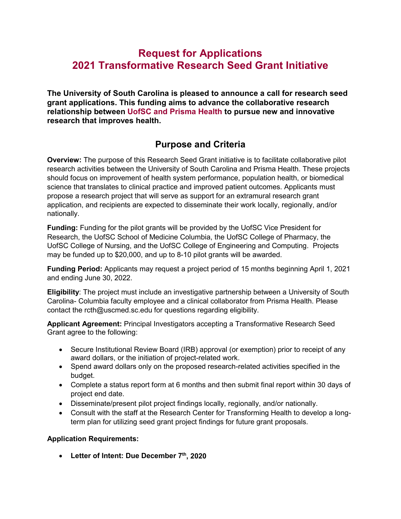# **Request for Applications 2021 Transformative Research Seed Grant Initiative**

**The University of South Carolina is pleased to announce a call for research seed grant applications. This funding aims to advance the collaborative research relationship between UofSC and Prisma Health to pursue new and innovative research that improves health.**

# **Purpose and Criteria**

**Overview:** The purpose of this Research Seed Grant initiative is to facilitate collaborative pilot research activities between the University of South Carolina and Prisma Health. These projects should focus on improvement of health system performance, population health, or biomedical science that translates to clinical practice and improved patient outcomes. Applicants must propose a research project that will serve as support for an extramural research grant application, and recipients are expected to disseminate their work locally, regionally, and/or nationally.

**Funding:** Funding for the pilot grants will be provided by the UofSC Vice President for Research, the UofSC School of Medicine Columbia, the UofSC College of Pharmacy, the UofSC College of Nursing, and the UofSC College of Engineering and Computing. Projects may be funded up to \$20,000, and up to 8-10 pilot grants will be awarded.

**Funding Period:** Applicants may request a project period of 15 months beginning April 1, 2021 and ending June 30, 2022.

**Eligibility**: The project must include an investigative partnership between a University of South Carolina- Columbia faculty employee and a clinical collaborator from Prisma Health. Please contact the rcth@uscmed.sc.edu for questions regarding eligibility.

**Applicant Agreement:** Principal Investigators accepting a Transformative Research Seed Grant agree to the following:

- Secure Institutional Review Board (IRB) approval (or exemption) prior to receipt of any award dollars, or the initiation of project-related work.
- Spend award dollars only on the proposed research-related activities specified in the budget.
- Complete a status report form at 6 months and then submit final report within 30 days of project end date.
- Disseminate/present pilot project findings locally, regionally, and/or nationally.
- Consult with the staff at the Research Center for Transforming Health to develop a longterm plan for utilizing seed grant project findings for future grant proposals.

#### **Application Requirements:**

• **Letter of Intent: Due December 7th, 2020**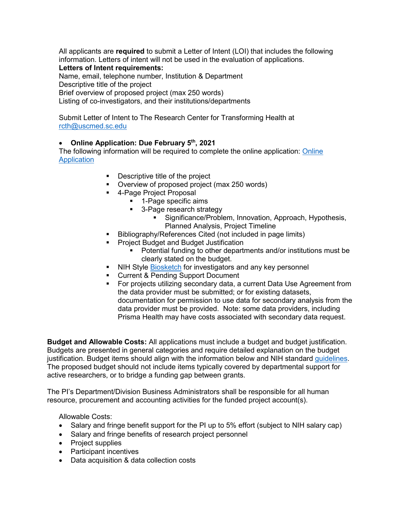All applicants are **required** to submit a Letter of Intent (LOI) that includes the following information. Letters of intent will not be used in the evaluation of applications.

## **Letters of Intent requirements:**

Name, email, telephone number, Institution & Department Descriptive title of the project Brief overview of proposed project (max 250 words) Listing of co-investigators, and their institutions/departments

Submit Letter of Intent to The Research Center for Transforming Health at [rcth@uscmed.sc.edu](mailto:rcth@uscmed.sc.edu)

### • **Online Application: Due February 5th, 2021**

The following information will be required to complete the online application: [Online](https://redcap.healthsciencessc.org/surveys/?s=KP78DXAWCL)  **[Application](https://redcap.healthsciencessc.org/surveys/?s=KP78DXAWCL)** 

- **•** Descriptive title of the project
- Overview of proposed project (max 250 words)
- 4-Page Project Proposal
	- **1-Page specific aims**
	- 3-Page research strategy
		- **Significance/Problem, Innovation, Approach, Hypothesis,** Planned Analysis, Project Timeline
	- Bibliography/References Cited (not included in page limits)
- Project Budget and Budget Justification
	- Potential funding to other departments and/or institutions must be clearly stated on the budget.
- NIH Style [Biosketch](https://grants.nih.gov/grants/forms/biosketch.htm) for investigators and any key personnel
- Current & Pending Support Document
- For projects utilizing secondary data, a current Data Use Agreement from the data provider must be submitted; or for existing datasets, documentation for permission to use data for secondary analysis from the data provider must be provided. Note: some data providers, including Prisma Health may have costs associated with secondary data request.

**Budget and Allowable Costs:** All applications must include a budget and budget justification. Budgets are presented in general categories and require detailed explanation on the budget justification. Budget items should align with the information below and NIH standard [guidelines.](https://grants.nih.gov/grants/policy/nihgps/html5/section_7/7.9_allowability_of_costs_activities.htm) The proposed budget should not include items typically covered by departmental support for active researchers, or to bridge a funding gap between grants.

The PI's Department/Division Business Administrators shall be responsible for all human resource, procurement and accounting activities for the funded project account(s).

Allowable Costs:

- Salary and fringe benefit support for the PI up to 5% effort (subject to NIH salary cap)
- Salary and fringe benefits of research project personnel
- Project supplies
- Participant incentives
- Data acquisition & data collection costs